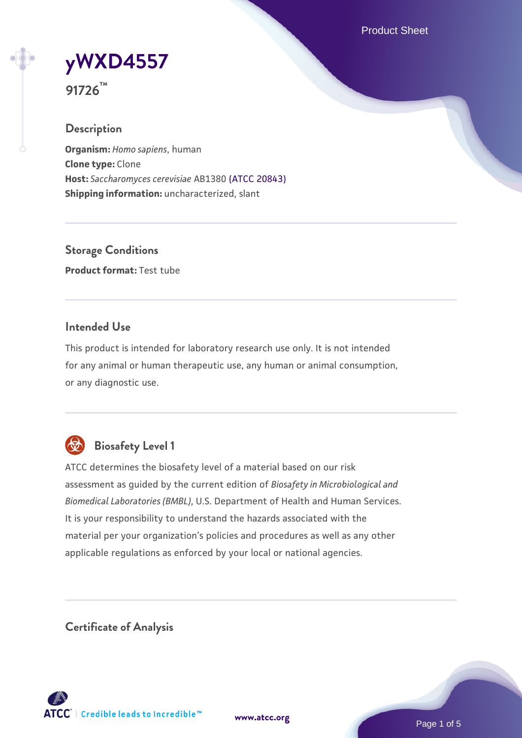Product Sheet



**91726™**

# **Description**

**Organism:** *Homo sapiens*, human **Clone type:** Clone **Host:** *Saccharomyces cerevisiae* AB1380 [\(ATCC 20843\)](https://www.atcc.org/products/20843) **Shipping information:** uncharacterized, slant

**Storage Conditions Product format:** Test tube

## **Intended Use**

This product is intended for laboratory research use only. It is not intended for any animal or human therapeutic use, any human or animal consumption, or any diagnostic use.



# **Biosafety Level 1**

ATCC determines the biosafety level of a material based on our risk assessment as guided by the current edition of *Biosafety in Microbiological and Biomedical Laboratories (BMBL)*, U.S. Department of Health and Human Services. It is your responsibility to understand the hazards associated with the material per your organization's policies and procedures as well as any other applicable regulations as enforced by your local or national agencies.

**Certificate of Analysis**

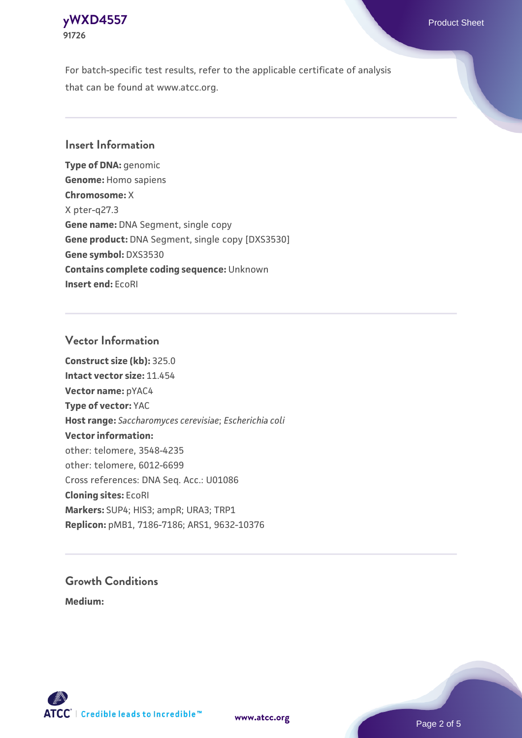### **[yWXD4557](https://www.atcc.org/products/91726)** Product Sheet **91726**

For batch-specific test results, refer to the applicable certificate of analysis that can be found at www.atcc.org.

## **Insert Information**

**Type of DNA:** genomic **Genome:** Homo sapiens **Chromosome:** X X pter-q27.3 **Gene name:** DNA Segment, single copy **Gene product:** DNA Segment, single copy [DXS3530] **Gene symbol:** DXS3530 **Contains complete coding sequence:** Unknown **Insert end:** EcoRI

#### **Vector Information**

**Construct size (kb):** 325.0 **Intact vector size:** 11.454 **Vector name:** pYAC4 **Type of vector:** YAC **Host range:** *Saccharomyces cerevisiae*; *Escherichia coli* **Vector information:** other: telomere, 3548-4235 other: telomere, 6012-6699 Cross references: DNA Seq. Acc.: U01086 **Cloning sites:** EcoRI **Markers:** SUP4; HIS3; ampR; URA3; TRP1 **Replicon:** pMB1, 7186-7186; ARS1, 9632-10376

# **Growth Conditions**

**Medium:** 



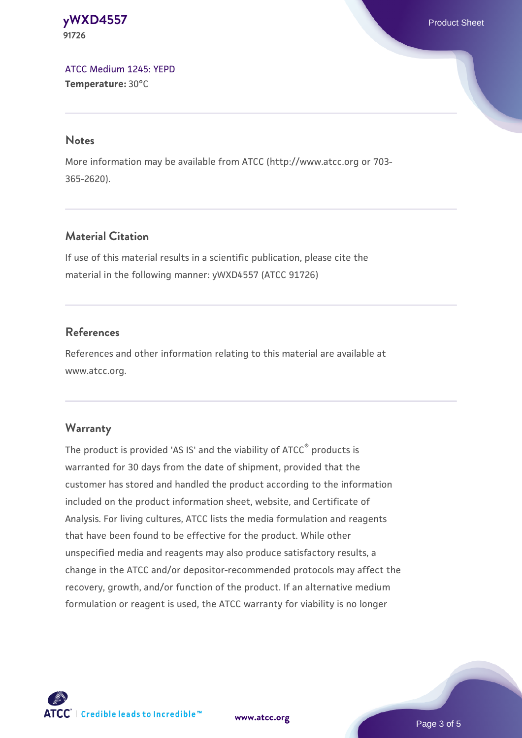#### **[yWXD4557](https://www.atcc.org/products/91726)** Product Sheet **91726**

[ATCC Medium 1245: YEPD](https://www.atcc.org/-/media/product-assets/documents/microbial-media-formulations/1/2/4/5/atcc-medium-1245.pdf?rev=705ca55d1b6f490a808a965d5c072196) **Temperature:** 30°C

#### **Notes**

More information may be available from ATCC (http://www.atcc.org or 703- 365-2620).

# **Material Citation**

If use of this material results in a scientific publication, please cite the material in the following manner: yWXD4557 (ATCC 91726)

# **References**

References and other information relating to this material are available at www.atcc.org.

# **Warranty**

The product is provided 'AS IS' and the viability of ATCC® products is warranted for 30 days from the date of shipment, provided that the customer has stored and handled the product according to the information included on the product information sheet, website, and Certificate of Analysis. For living cultures, ATCC lists the media formulation and reagents that have been found to be effective for the product. While other unspecified media and reagents may also produce satisfactory results, a change in the ATCC and/or depositor-recommended protocols may affect the recovery, growth, and/or function of the product. If an alternative medium formulation or reagent is used, the ATCC warranty for viability is no longer



**[www.atcc.org](http://www.atcc.org)**

Page 3 of 5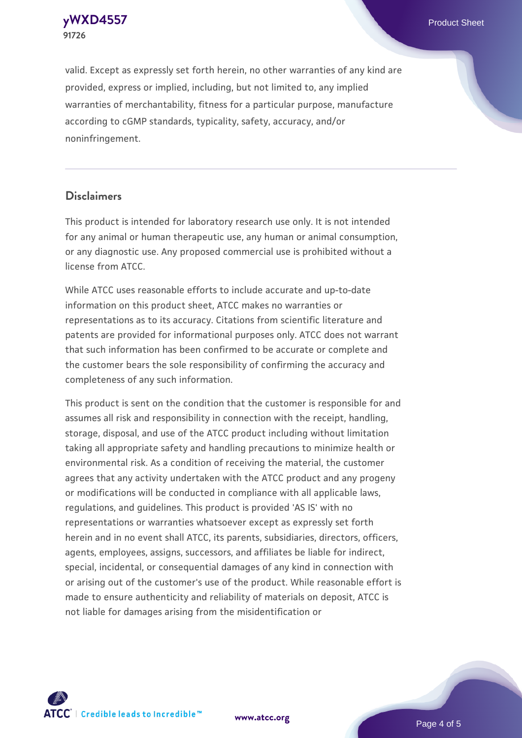**[yWXD4557](https://www.atcc.org/products/91726)** Product Sheet **91726**

valid. Except as expressly set forth herein, no other warranties of any kind are provided, express or implied, including, but not limited to, any implied warranties of merchantability, fitness for a particular purpose, manufacture according to cGMP standards, typicality, safety, accuracy, and/or noninfringement.

#### **Disclaimers**

This product is intended for laboratory research use only. It is not intended for any animal or human therapeutic use, any human or animal consumption, or any diagnostic use. Any proposed commercial use is prohibited without a license from ATCC.

While ATCC uses reasonable efforts to include accurate and up-to-date information on this product sheet, ATCC makes no warranties or representations as to its accuracy. Citations from scientific literature and patents are provided for informational purposes only. ATCC does not warrant that such information has been confirmed to be accurate or complete and the customer bears the sole responsibility of confirming the accuracy and completeness of any such information.

This product is sent on the condition that the customer is responsible for and assumes all risk and responsibility in connection with the receipt, handling, storage, disposal, and use of the ATCC product including without limitation taking all appropriate safety and handling precautions to minimize health or environmental risk. As a condition of receiving the material, the customer agrees that any activity undertaken with the ATCC product and any progeny or modifications will be conducted in compliance with all applicable laws, regulations, and guidelines. This product is provided 'AS IS' with no representations or warranties whatsoever except as expressly set forth herein and in no event shall ATCC, its parents, subsidiaries, directors, officers, agents, employees, assigns, successors, and affiliates be liable for indirect, special, incidental, or consequential damages of any kind in connection with or arising out of the customer's use of the product. While reasonable effort is made to ensure authenticity and reliability of materials on deposit, ATCC is not liable for damages arising from the misidentification or



**[www.atcc.org](http://www.atcc.org)**

Page 4 of 5